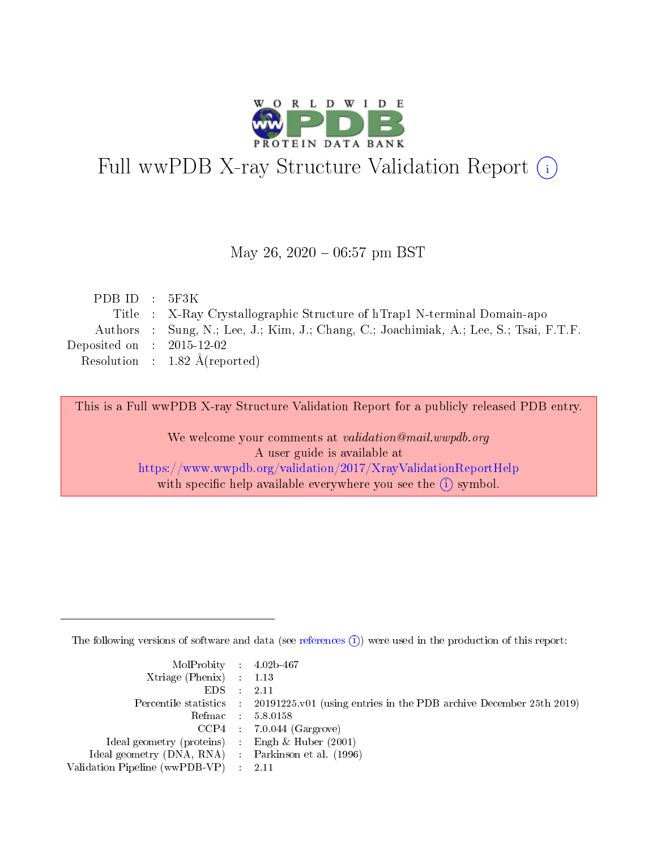

# Full wwPDB X-ray Structure Validation Report (i)

#### May 26,  $2020 - 06:57$  pm BST

| PDBID : 5F3K                |                                                                                        |
|-----------------------------|----------------------------------------------------------------------------------------|
|                             | Title : X-Ray Crystallographic Structure of hTrap1 N-terminal Domain-apo               |
|                             | Authors : Sung, N.; Lee, J.; Kim, J.; Chang, C.; Joachimiak, A.; Lee, S.; Tsai, F.T.F. |
| Deposited on : $2015-12-02$ |                                                                                        |
|                             | Resolution : $1.82 \text{ Å}$ (reported)                                               |
|                             |                                                                                        |

This is a Full wwPDB X-ray Structure Validation Report for a publicly released PDB entry.

We welcome your comments at validation@mail.wwpdb.org A user guide is available at <https://www.wwpdb.org/validation/2017/XrayValidationReportHelp> with specific help available everywhere you see the  $(i)$  symbol.

The following versions of software and data (see [references](https://www.wwpdb.org/validation/2017/XrayValidationReportHelp#references)  $(i)$ ) were used in the production of this report:

| $MolProbability$ 4.02b-467                          |                                                                                            |
|-----------------------------------------------------|--------------------------------------------------------------------------------------------|
| Xtriage (Phenix) $: 1.13$                           |                                                                                            |
| $EDS$ :                                             | -2.11                                                                                      |
|                                                     | Percentile statistics : 20191225.v01 (using entries in the PDB archive December 25th 2019) |
|                                                     | Refmac : 5.8.0158                                                                          |
|                                                     | $CCP4$ : 7.0.044 (Gargrove)                                                                |
| Ideal geometry (proteins) : Engh $\&$ Huber (2001)  |                                                                                            |
| Ideal geometry (DNA, RNA) : Parkinson et al. (1996) |                                                                                            |
| Validation Pipeline (wwPDB-VP)                      | -2.11                                                                                      |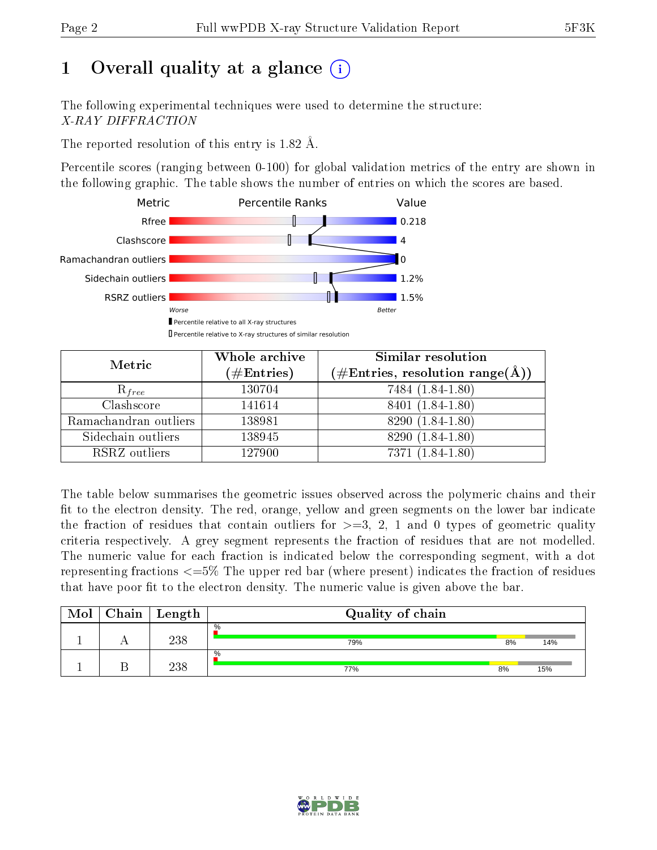# 1 [O](https://www.wwpdb.org/validation/2017/XrayValidationReportHelp#overall_quality)verall quality at a glance  $(i)$

The following experimental techniques were used to determine the structure: X-RAY DIFFRACTION

The reported resolution of this entry is 1.82 Å.

Percentile scores (ranging between 0-100) for global validation metrics of the entry are shown in the following graphic. The table shows the number of entries on which the scores are based.



| Metric                | Whole archive<br>$(\#\text{Entries})$ | Similar resolution<br>$(\#\text{Entries}, \text{resolution range}(\text{\AA}))$ |
|-----------------------|---------------------------------------|---------------------------------------------------------------------------------|
| $R_{free}$            | 130704                                | 7484 (1.84-1.80)                                                                |
| Clashscore            | 141614                                | 8401 (1.84-1.80)                                                                |
| Ramachandran outliers | 138981                                | 8290 (1.84-1.80)                                                                |
| Sidechain outliers    | 138945                                | 8290 (1.84-1.80)                                                                |
| RSRZ outliers         | 127900                                | 7371 (1.84-1.80)                                                                |

The table below summarises the geometric issues observed across the polymeric chains and their fit to the electron density. The red, orange, yellow and green segments on the lower bar indicate the fraction of residues that contain outliers for  $>=3, 2, 1$  and 0 types of geometric quality criteria respectively. A grey segment represents the fraction of residues that are not modelled. The numeric value for each fraction is indicated below the corresponding segment, with a dot representing fractions  $\epsilon=5\%$  The upper red bar (where present) indicates the fraction of residues that have poor fit to the electron density. The numeric value is given above the bar.

| Mol | ${\bf Chain \mid Length}$ | Quality of chain |    |     |
|-----|---------------------------|------------------|----|-----|
|     | 238                       | $\%$<br>79%      | 8% | 14% |
|     | 238                       | $\%$<br>77%      | 8% | 15% |

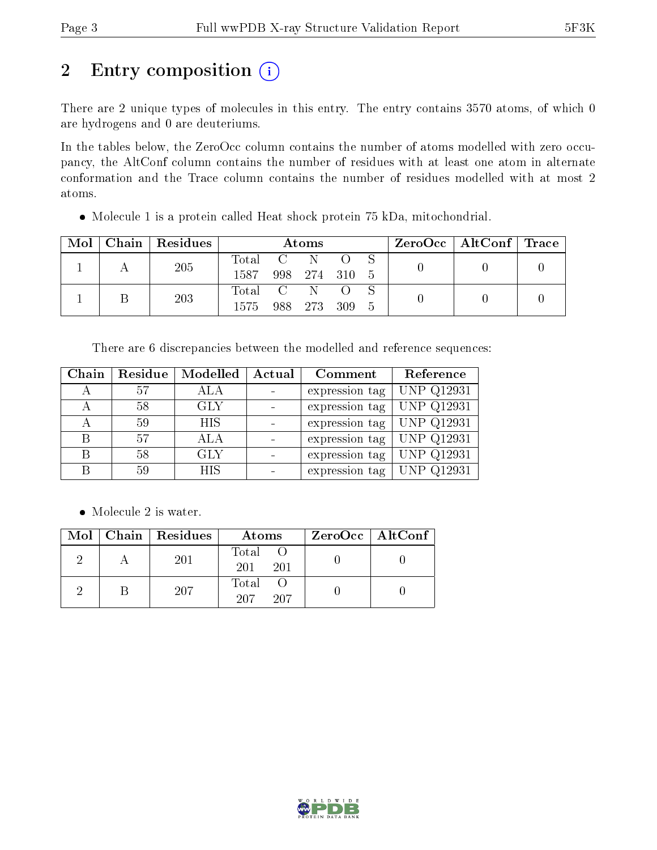# 2 Entry composition (i)

There are 2 unique types of molecules in this entry. The entry contains 3570 atoms, of which 0 are hydrogens and 0 are deuteriums.

In the tables below, the ZeroOcc column contains the number of atoms modelled with zero occupancy, the AltConf column contains the number of residues with at least one atom in alternate conformation and the Trace column contains the number of residues modelled with at most 2 atoms.

• Molecule 1 is a protein called Heat shock protein 75 kDa, mitochondrial.

| Mol | Chain   Residues | <b>Atoms</b> |  |               |  |      |  | $\rm ZeroOcc$   Alt $\rm Conf$   $\rm Trace$ |  |
|-----|------------------|--------------|--|---------------|--|------|--|----------------------------------------------|--|
|     | <b>205</b>       | Total C N    |  |               |  |      |  |                                              |  |
|     |                  | 1587         |  | 998 274 310 5 |  |      |  |                                              |  |
|     | 203              | Total C N O  |  |               |  |      |  |                                              |  |
|     |                  | 1575.        |  | 988 273 309   |  | $-5$ |  |                                              |  |

There are 6 discrepancies between the modelled and reference sequences:

| Chain | Residue | Modelled   | Actual | Comment        | Reference                    |
|-------|---------|------------|--------|----------------|------------------------------|
|       | 57      | ALA        |        | expression tag | UNP Q12931                   |
|       | 58      | <b>GLY</b> |        | expression tag | <b>UNP Q12931</b>            |
|       | 59      | <b>HIS</b> |        | expression tag | $\overline{\rm UNP\ Q12931}$ |
| B     | 57      | ALA        |        | expression tag | UNP Q12931                   |
| R     | 58      | <b>GLY</b> |        | expression tag | <b>UNP Q12931</b>            |
|       | 59      | <b>HIS</b> |        | expression tag | UNP Q12931                   |

• Molecule 2 is water.

|  | $Mol$   Chain   Residues | Atoms               | $ZeroOcc \mid AltConf \mid$ |
|--|--------------------------|---------------------|-----------------------------|
|  | 201                      | Total<br>201<br>201 |                             |
|  | 207                      | Total<br>207<br>207 |                             |

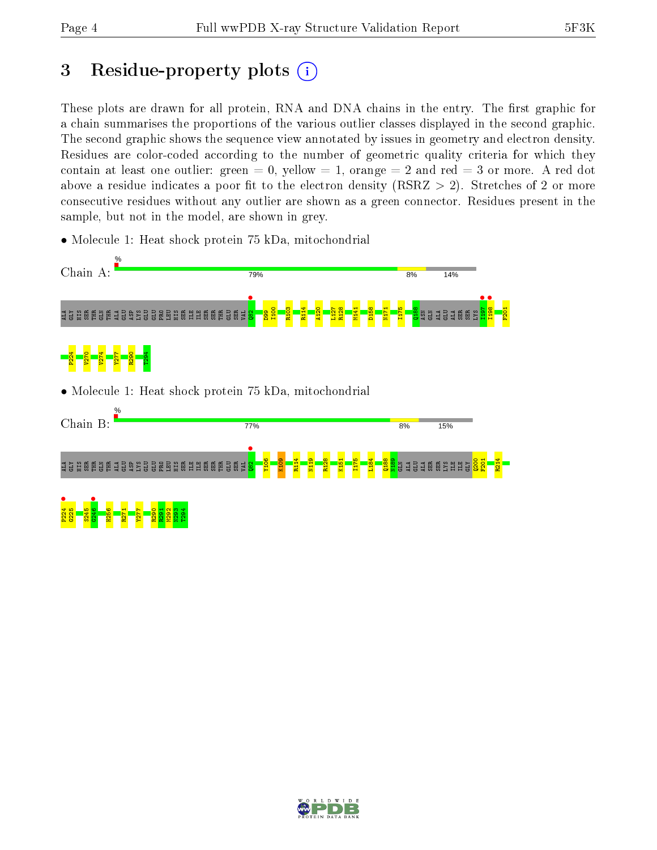## 3 Residue-property plots  $(i)$

These plots are drawn for all protein, RNA and DNA chains in the entry. The first graphic for a chain summarises the proportions of the various outlier classes displayed in the second graphic. The second graphic shows the sequence view annotated by issues in geometry and electron density. Residues are color-coded according to the number of geometric quality criteria for which they contain at least one outlier: green  $= 0$ , yellow  $= 1$ , orange  $= 2$  and red  $= 3$  or more. A red dot above a residue indicates a poor fit to the electron density (RSRZ  $> 2$ ). Stretches of 2 or more consecutive residues without any outlier are shown as a green connector. Residues present in the sample, but not in the model, are shown in grey.

• Molecule 1: Heat shock protein 75 kDa, mitochondrial



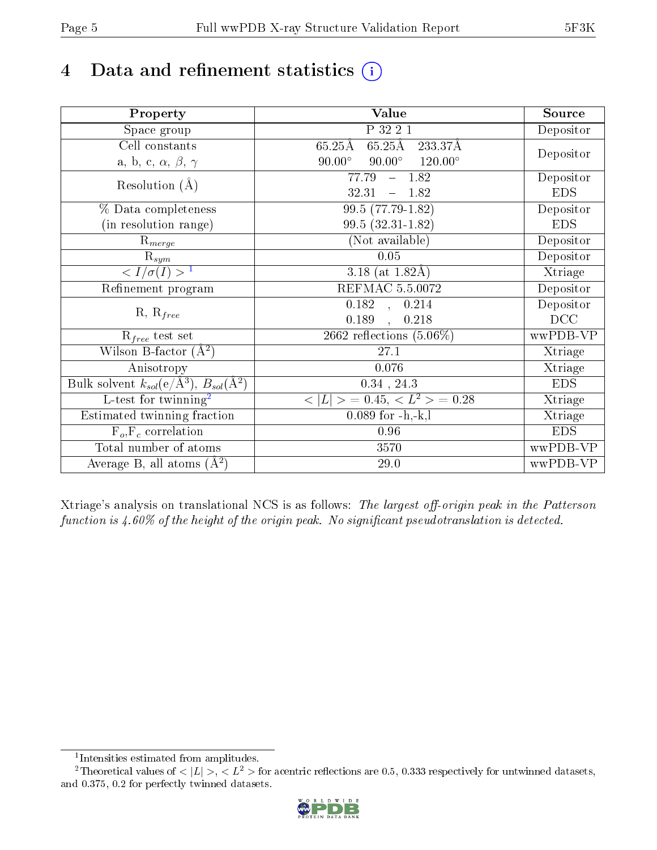# 4 Data and refinement statistics  $(i)$

| Property                                                             | Value                                             | Source     |
|----------------------------------------------------------------------|---------------------------------------------------|------------|
| Space group                                                          | P 32 2 1                                          | Depositor  |
| Cell constants                                                       | $65.25\text{\AA}$<br>$65.25\text{\AA}$<br>233.37Å |            |
| a, b, c, $\alpha$ , $\beta$ , $\gamma$                               | $90.00^\circ$<br>$90.00^\circ$<br>$120.00^\circ$  | Depositor  |
| Resolution $(A)$                                                     | 77.79<br>$-1.82$                                  | Depositor  |
|                                                                      | 32.31<br>$-1.82$                                  | <b>EDS</b> |
| % Data completeness                                                  | $99.5(77.79-1.82)$                                | Depositor  |
| (in resolution range)                                                | 99.5 (32.31-1.82)                                 | <b>EDS</b> |
| $\mathrm{R}_{merge}$                                                 | (Not available)                                   | Depositor  |
| $\mathrm{R}_{sym}$                                                   | 0.05                                              | Depositor  |
| $\langle I/\sigma(I) \rangle$ <sup>1</sup>                           | 3.18 (at $1.82\text{\AA}$ )                       | Xtriage    |
| Refinement program                                                   | <b>REFMAC 5.5.0072</b>                            | Depositor  |
| $R, R_{free}$                                                        | $\overline{0.1}82$ ,<br>0.214                     | Depositor  |
|                                                                      | 0.189<br>0.218<br>$\overline{\phantom{a}}$        | DCC        |
| $R_{free}$ test set                                                  | 2662 reflections $(5.06\%)$                       | wwPDB-VP   |
| Wilson B-factor $(A^2)$                                              | 27.1                                              | Xtriage    |
| Anisotropy                                                           | 0.076                                             | Xtriage    |
| Bulk solvent $k_{sol}(e/\mathring{A}^3)$ , $B_{sol}(\mathring{A}^2)$ | $0.34$ , $24.3$                                   | <b>EDS</b> |
| $L$ -test for twinning <sup>2</sup>                                  | $< L >$ = 0.45, $< L^2 >$ = 0.28                  | Xtriage    |
| Estimated twinning fraction                                          | $0.089$ for $-h,-k,l$                             | Xtriage    |
| $F_o, F_c$ correlation                                               | 0.96                                              | <b>EDS</b> |
| Total number of atoms                                                | 3570                                              | wwPDB-VP   |
| Average B, all atoms $(A^2)$                                         | 29.0                                              | wwPDB-VP   |

Xtriage's analysis on translational NCS is as follows: The largest off-origin peak in the Patterson function is  $4.60\%$  of the height of the origin peak. No significant pseudotranslation is detected.

<sup>&</sup>lt;sup>2</sup>Theoretical values of  $\langle |L| \rangle$ ,  $\langle L^2 \rangle$  for acentric reflections are 0.5, 0.333 respectively for untwinned datasets, and 0.375, 0.2 for perfectly twinned datasets.



<span id="page-4-1"></span><span id="page-4-0"></span><sup>1</sup> Intensities estimated from amplitudes.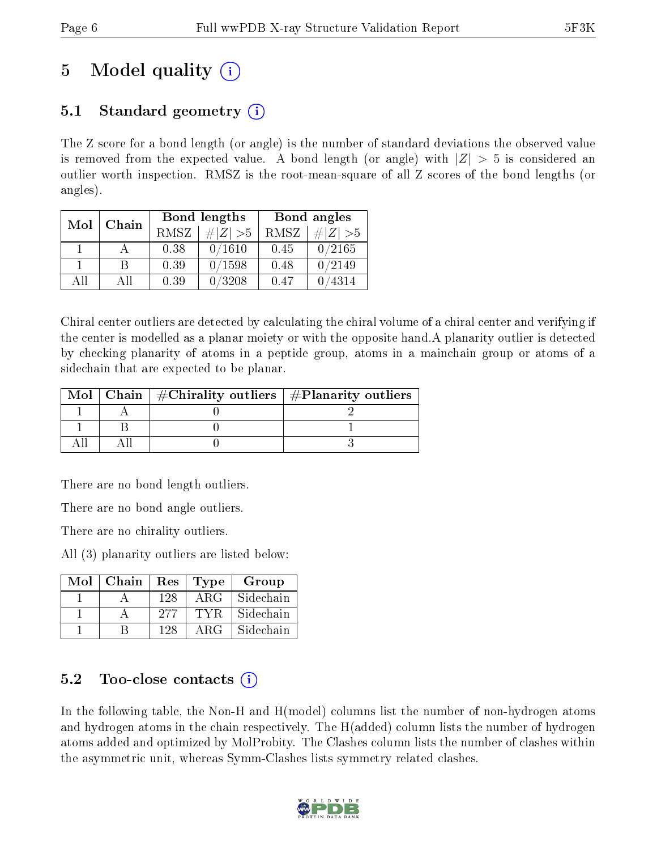# 5 Model quality  $(i)$

## 5.1 Standard geometry  $\overline{()}$

The Z score for a bond length (or angle) is the number of standard deviations the observed value is removed from the expected value. A bond length (or angle) with  $|Z| > 5$  is considered an outlier worth inspection. RMSZ is the root-mean-square of all Z scores of the bond lengths (or angles).

| Mol | Chain |      | Bond lengths | Bond angles |             |  |
|-----|-------|------|--------------|-------------|-------------|--|
|     |       | RMSZ | $\# Z  > 5$  | RMSZ        | # $ Z  > 5$ |  |
|     |       | 0.38 | 0/1610       | 0.45        | 0/2165      |  |
|     | R     | 0.39 | 0/1598       | 0.48        | 0/2149      |  |
| AII | All   | 0.39 | 0/3208       | 0.47        | 4314        |  |

Chiral center outliers are detected by calculating the chiral volume of a chiral center and verifying if the center is modelled as a planar moiety or with the opposite hand.A planarity outlier is detected by checking planarity of atoms in a peptide group, atoms in a mainchain group or atoms of a sidechain that are expected to be planar.

|  | Mol   Chain   $\#\text{Chirality outliers}$   $\#\text{Planarity outliers}$ |  |
|--|-----------------------------------------------------------------------------|--|
|  |                                                                             |  |
|  |                                                                             |  |
|  |                                                                             |  |

There are no bond length outliers.

There are no bond angle outliers.

There are no chirality outliers.

All (3) planarity outliers are listed below:

| $Mol$   Chain   Res |     | $\vert$ Type $\vert$ | Group     |
|---------------------|-----|----------------------|-----------|
|                     | 128 | ARG                  | Sidechain |
|                     | 277 | TYR.                 | Sidechain |
|                     | 128 | ARG                  | Sidechain |

### 5.2 Too-close contacts  $(i)$

In the following table, the Non-H and H(model) columns list the number of non-hydrogen atoms and hydrogen atoms in the chain respectively. The H(added) column lists the number of hydrogen atoms added and optimized by MolProbity. The Clashes column lists the number of clashes within the asymmetric unit, whereas Symm-Clashes lists symmetry related clashes.

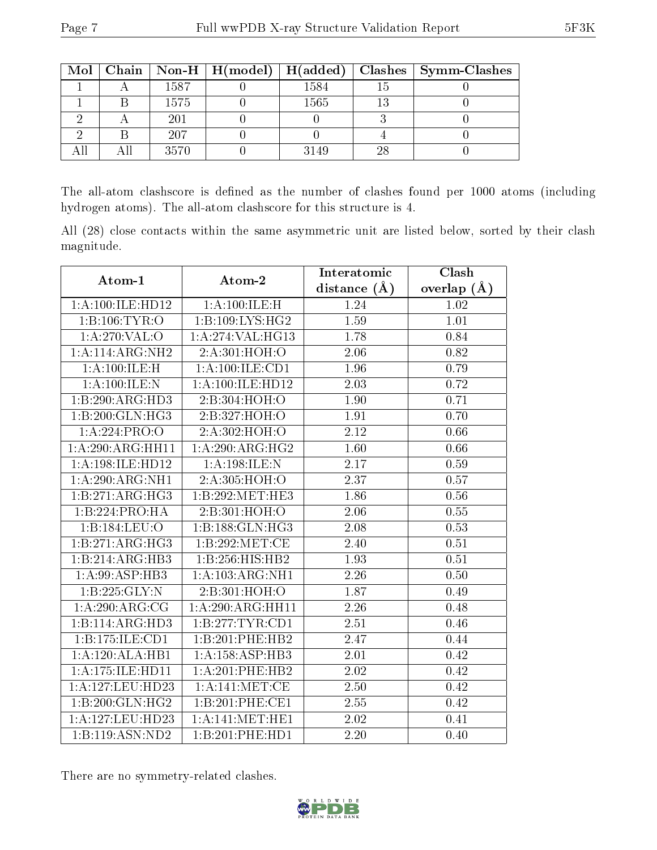|  |      |      |    | Mol   Chain   Non-H   H(model)   H(added)   Clashes   Symm-Clashes |
|--|------|------|----|--------------------------------------------------------------------|
|  | 1587 | 1584 |    |                                                                    |
|  | 1575 | 1565 |    |                                                                    |
|  | 201  |      |    |                                                                    |
|  | 207  |      |    |                                                                    |
|  | 3570 | 3149 | 28 |                                                                    |

The all-atom clashscore is defined as the number of clashes found per 1000 atoms (including hydrogen atoms). The all-atom clashscore for this structure is 4.

All (28) close contacts within the same asymmetric unit are listed below, sorted by their clash magnitude.

| Atom-1           | Atom-2              | Interatomic    | Clash         |  |
|------------------|---------------------|----------------|---------------|--|
|                  |                     | distance $(A)$ | overlap $(A)$ |  |
| 1:A:100:ILE:HD12 | 1: A:100: ILE:H     | 1.24           | 1.02          |  |
| 1:B:106:TYR:O    | 1:B:109:LYS:HG2     | 1.59           | 1.01          |  |
| 1: A:270: VAL:O  | 1: A:274: VAL:HG13  | 1.78           | 0.84          |  |
| 1:A:114:ARG:NH2  | 2:A:301:HOH:O       | 2.06           | 0.82          |  |
| 1:A:100:ILE:H    | 1: A: 100: ILE: CD1 | 1.96           | 0.79          |  |
| 1:A:100:ILE:N    | 1:A:100:ILE:HD12    | 2.03           | 0.72          |  |
| 1:B:290:ARG:HD3  | 2:B:304:HOH:O       | 1.90           | 0.71          |  |
| 1:B:200:GLN:HG3  | 2:B:327:HOH:O       | 1.91           | 0.70          |  |
| 1:A:224:PRO:O    | 2:A:302:HOH:O       | 2.12           | 0.66          |  |
| 1:A:290:ARG:HH11 | 1: A:290:ARG:HG2    | 1.60           | 0.66          |  |
| 1:A:198:ILE:HD12 | 1:A:198:ILE:N       | 2.17           | 0.59          |  |
| 1:A:290:ARG:NH1  | 2:A:305:HOH:O       | 2.37           | 0.57          |  |
| 1:B:271:ARG:HG3  | 1:B:292:MET:HE3     | 1.86           | 0.56          |  |
| 1:B:224:PRO:HA   | 2:B:301:HOH:O       | 2.06           | 0.55          |  |
| 1:B:184:LEU:O    | 1:B:188:GLN:HG3     | 2.08           | 0.53          |  |
| 1:B:271:ARG:HG3  | 1:B:292:MET:CE      | 2.40           | 0.51          |  |
| 1:B:214:ARG:HB3  | 1:B:256:HIS:HB2     | 1.93           | 0.51          |  |
| 1:A:99:ASP:HB3   | 1:A:103:ARG:NH1     | 2.26           | 0.50          |  |
| 1:B:225:GLY:N    | 2:B:301:HOH:O       | 1.87           | 0.49          |  |
| 1: A:290:ARG:CG  | 1:A:290:ARG:HH11    | 2.26           | 0.48          |  |
| 1:B:114:ARG:HD3  | 1:B:277:TYR:CD1     | 2.51           | 0.46          |  |
| 1:B:175:ILE:CD1  | 1:B:201:PHE:HB2     | 2.47           | 0.44          |  |
| 1:A:120:ALA:HB1  | 1:A:158:ASP:HB3     | 2.01           | 0.42          |  |
| 1:A:175:ILE:HD11 | 1:A:201:PHE:HB2     | $2.02\,$       | 0.42          |  |
| 1:A:127:LEU:HD23 | 1:A:141:MET:CE      | 2.50           | 0.42          |  |
| 1:B:200:GLN:HG2  | 1:B:201:PHE:CE1     | 2.55           | 0.42          |  |
| 1:A:127:LEU:HD23 | 1: A:141: MET:HE1   | 2.02           | 0.41          |  |
| 1:B:119:ASN:ND2  | 1:B:201:PHE:HD1     | 2.20           | 0.40          |  |

There are no symmetry-related clashes.

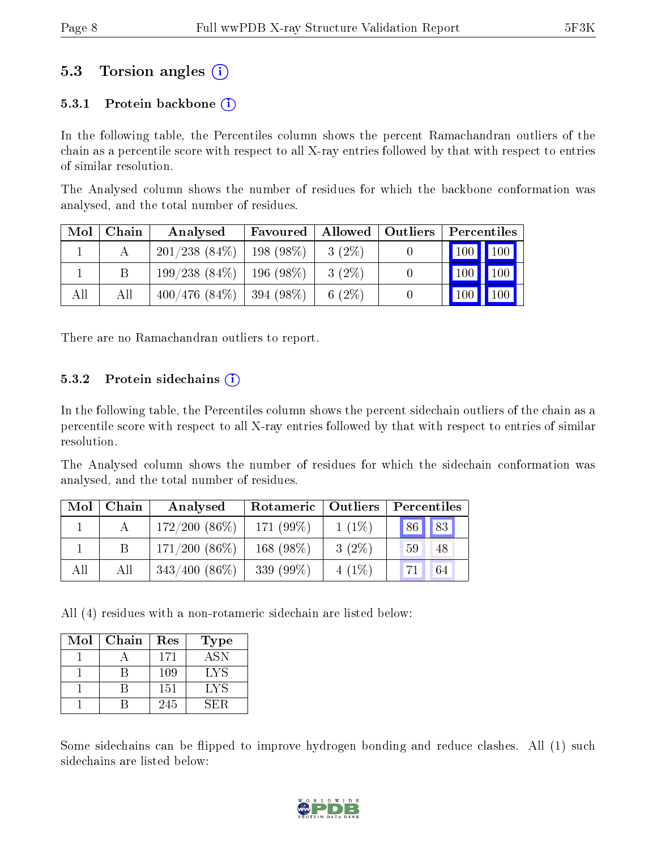### 5.3 Torsion angles (i)

#### 5.3.1 Protein backbone  $(i)$

In the following table, the Percentiles column shows the percent Ramachandran outliers of the chain as a percentile score with respect to all X-ray entries followed by that with respect to entries of similar resolution.

The Analysed column shows the number of residues for which the backbone conformation was analysed, and the total number of residues.

| Mol | Chain | Analysed        | Favoured              | $\blacksquare$ Allowed $\blacksquare$ | Outliers | Percentiles   |     |
|-----|-------|-----------------|-----------------------|---------------------------------------|----------|---------------|-----|
|     |       | $201/238(84\%)$ | $\frac{1}{198}$ (98%) | $3(2\%)$                              |          | $100$   $100$ |     |
|     |       | $199/238(84\%)$ | $196(98\%)$           | $3(2\%)$                              |          | 100           | 100 |
| All | Аll   | 400/476(84%)    | $ 394(98\%)$          | 6 $(2\%)$                             |          | $100 \mid$    | 100 |

There are no Ramachandran outliers to report.

#### 5.3.2 Protein sidechains  $(i)$

In the following table, the Percentiles column shows the percent sidechain outliers of the chain as a percentile score with respect to all X-ray entries followed by that with respect to entries of similar resolution.

The Analysed column shows the number of residues for which the sidechain conformation was analysed, and the total number of residues.

| Mol | Chain | Analysed        | Rotameric   Outliers |          | Percentiles |  |  |
|-----|-------|-----------------|----------------------|----------|-------------|--|--|
|     |       | $172/200(86\%)$ | 171 $(99\%)$         | $1(1\%)$ | 83<br> 86   |  |  |
|     |       | $171/200(86\%)$ | 168 $(98\%)$         | $3(2\%)$ | 59<br>48    |  |  |
| All | All   | $343/400(86\%)$ | 339 $(99\%)$         | $4(1\%)$ | 64          |  |  |

All (4) residues with a non-rotameric sidechain are listed below:

| Mol | Chain | Res | <b>Type</b> |
|-----|-------|-----|-------------|
|     |       | 171 | <b>ASN</b>  |
|     |       | 109 | LYS         |
|     |       | 151 | LYS         |
|     |       | 245 | SER.        |

Some sidechains can be flipped to improve hydrogen bonding and reduce clashes. All (1) such sidechains are listed below:

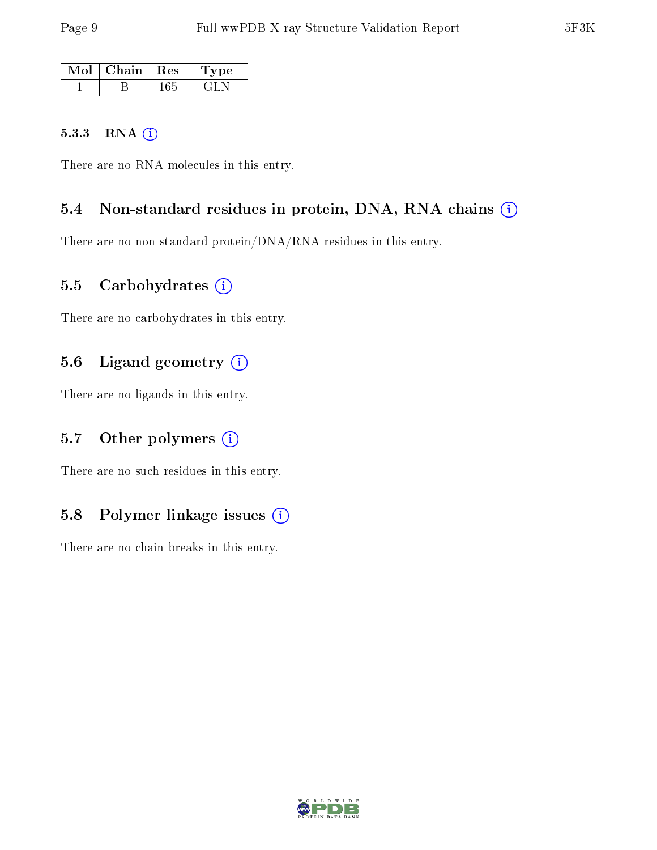| Mol | Chain   Res | 'Type |
|-----|-------------|-------|
|     |             |       |

#### 5.3.3 RNA [O](https://www.wwpdb.org/validation/2017/XrayValidationReportHelp#rna)i

There are no RNA molecules in this entry.

#### 5.4 Non-standard residues in protein, DNA, RNA chains (i)

There are no non-standard protein/DNA/RNA residues in this entry.

#### 5.5 Carbohydrates (i)

There are no carbohydrates in this entry.

#### 5.6 Ligand geometry (i)

There are no ligands in this entry.

### 5.7 [O](https://www.wwpdb.org/validation/2017/XrayValidationReportHelp#nonstandard_residues_and_ligands)ther polymers  $(i)$

There are no such residues in this entry.

### 5.8 Polymer linkage issues (i)

There are no chain breaks in this entry.

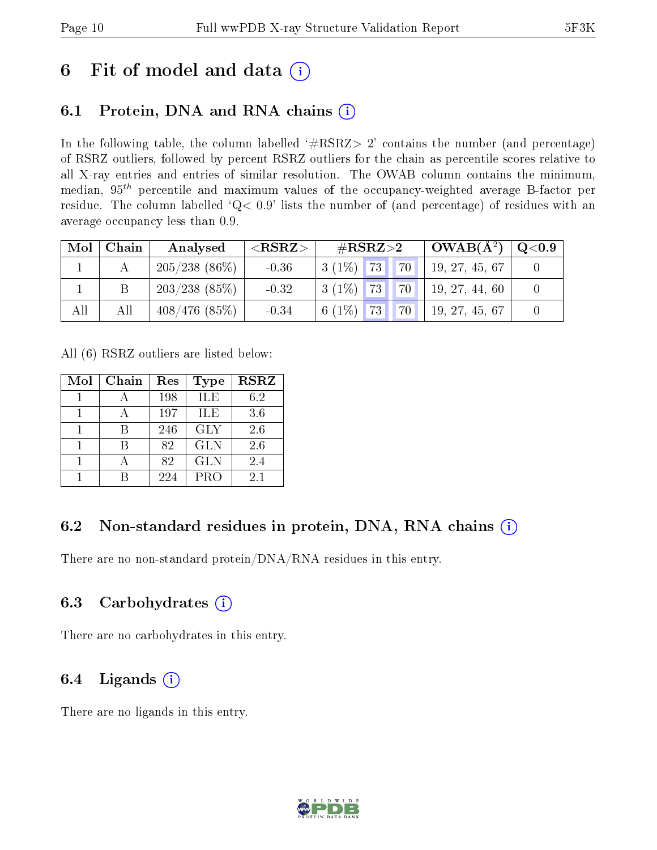## 6 Fit of model and data  $(i)$

## 6.1 Protein, DNA and RNA chains  $(i)$

In the following table, the column labelled  $#RSRZ> 2'$  contains the number (and percentage) of RSRZ outliers, followed by percent RSRZ outliers for the chain as percentile scores relative to all X-ray entries and entries of similar resolution. The OWAB column contains the minimum, median,  $95<sup>th</sup>$  percentile and maximum values of the occupancy-weighted average B-factor per residue. The column labelled  $Q< 0.9$  lists the number of (and percentage) of residues with an average occupancy less than 0.9.

| Mol | Chain | Analysed         | ${ <\hspace{-1.5pt}{\mathrm{RSRZ}} \hspace{-1.5pt}>}$ | $\#\text{RSRZ}{>}2$    |                 | $OWAB(A^2)$    | $\rm Q\textcolor{black}{<}0.9$ |
|-----|-------|------------------|-------------------------------------------------------|------------------------|-----------------|----------------|--------------------------------|
|     |       | $205/238(86\%)$  | $-0.36$                                               | 73<br>$3(1\%)$         | 70              | 19, 27, 45, 67 |                                |
|     |       | $203/238$ (85\%) | $-0.32$                                               | $3(1\%)$ 73            | 70 <sub>1</sub> | 19, 27, 44, 60 |                                |
| All | All   | 408/476(85%)     | $-0.34$                                               | <b>73</b><br>6 $(1\%)$ | <b>70</b>       | 19, 27, 45, 67 |                                |

All (6) RSRZ outliers are listed below:

| Mol | Chain | Res | <b>Type</b> | <b>RSRZ</b> |
|-----|-------|-----|-------------|-------------|
|     |       | 198 | ILE         | 6.2         |
|     |       | 197 | <b>ILE</b>  | 3.6         |
|     |       | 246 | <b>GLY</b>  | 2.6         |
|     |       | 82  | <b>GLN</b>  | 2.6         |
|     |       | 82  | <b>GLN</b>  | 2.4         |
|     |       | 224 | <b>PRO</b>  | 2.1         |

### 6.2 Non-standard residues in protein, DNA, RNA chains  $(i)$

There are no non-standard protein/DNA/RNA residues in this entry.

#### 6.3 Carbohydrates (i)

There are no carbohydrates in this entry.

### 6.4 Ligands  $(i)$

There are no ligands in this entry.